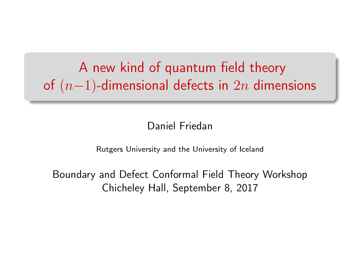A new kind of quantum field theory of  $(n-1)$ -dimensional defects in  $2n$  dimensions

Daniel Friedan

Rutgers University and the University of Iceland

Boundary and Defect Conformal Field Theory Workshop Chicheley Hall, September 8, 2017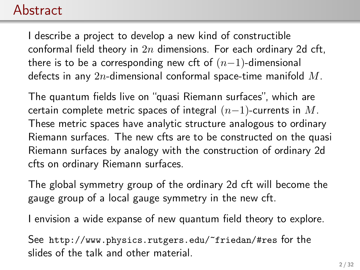#### Abstract

I describe a project to develop a new kind of constructible conformal field theory in  $2n$  dimensions. For each ordinary 2d cft, there is to be a corresponding new cft of  $(n-1)$ -dimensional defects in any  $2n$ -dimensional conformal space-time manifold  $M$ .

The quantum fields live on "quasi Riemann surfaces", which are certain complete metric spaces of integral  $(n-1)$ -currents in M. These metric spaces have analytic structure analogous to ordinary Riemann surfaces. The new cfts are to be constructed on the quasi Riemann surfaces by analogy with the construction of ordinary 2d cfts on ordinary Riemann surfaces.

The global symmetry group of the ordinary 2d cft will become the gauge group of a local gauge symmetry in the new cft.

I envision a wide expanse of new quantum field theory to explore.

See <http://www.physics.rutgers.edu/~friedan/#res> for the slides of the talk and other material.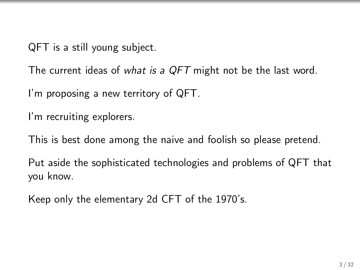QFT is a still young subject.

The current ideas of what is a QFT might not be the last word.

I'm proposing a new territory of QFT.

I'm recruiting explorers.

This is best done among the naive and foolish so please pretend.

Put aside the sophisticated technologies and problems of QFT that you know.

Keep only the elementary 2d CFT of the 1970's.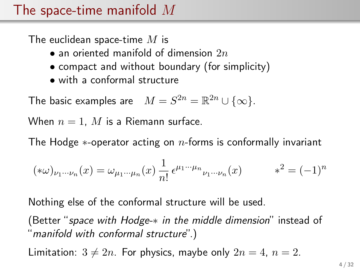#### The space-time manifold  $M$

The euclidean space-time  $M$  is

- an oriented manifold of dimension  $2n$
- compact and without boundary (for simplicity)
- with a conformal structure

The basic examples are  $M = S^{2n} = \mathbb{R}^{2n} \cup \{\infty\}.$ 

When  $n = 1$ , M is a Riemann surface.

The Hodge  $*$ -operator acting on  $n$ -forms is conformally invariant

$$
(\ast \omega)_{\nu_1 \cdots \nu_n}(x) = \omega_{\mu_1 \cdots \mu_n}(x) \frac{1}{n!} \epsilon^{\mu_1 \cdots \mu_n}{}_{\nu_1 \cdots \nu_n}(x) \qquad \ast^2 = (-1)^n
$$

Nothing else of the conformal structure will be used.

(Better "space with Hodge-\* in the middle dimension" instead of "manifold with conformal structure".)

Limitation:  $3 \neq 2n$ . For physics, maybe only  $2n = 4$ ,  $n = 2$ .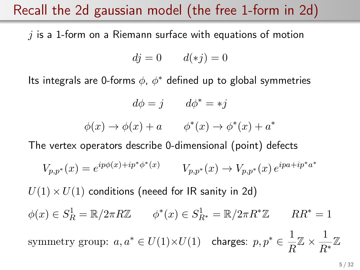#### Recall the 2d gaussian model (the free 1-form in 2d)

 $i$  is a 1-form on a Riemann surface with equations of motion

$$
dj = 0 \qquad d(*j) = 0
$$

Its integrals are 0-forms  $\phi$ ,  $\phi^*$  defined up to global symmetries

$$
d\phi = j \qquad d\phi^* = *j
$$

$$
\phi(x) \to \phi(x) + a \qquad \phi^*(x) \to \phi^*(x) + a^*
$$

The vertex operators describe 0-dimensional (point) defects

$$
V_{p,p^*}(x) = e^{ip\phi(x) + ip^*\phi^*(x)} \t V_{p,p^*}(x) \to V_{p,p^*}(x) e^{ipa + ip^*a^*}
$$

 $U(1) \times U(1)$  conditions (neeed for IR sanity in 2d)  $\phi(x) \in S_R^1 = \mathbb{R}/2\pi R \mathbb{Z}$   $\phi^*(x) \in S_{R^*}^1 = \mathbb{R}/2\pi R^* \mathbb{Z}$   $RR^* = 1$ symmetry group:  $a, a^* \in U(1) \times U(1)$  charges:  $p, p^* \in \frac{1}{\sqrt{p}}$  $\frac{1}{R}\mathbb{Z} \times \frac{1}{R}$ R<sup>∗</sup> Z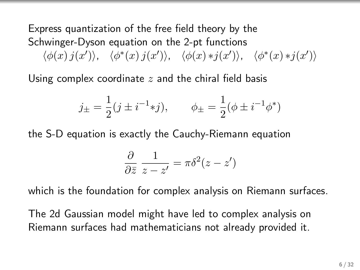Express quantization of the free field theory by the Schwinger-Dyson equation on the 2-pt functions  $\langle \phi(x) j(x') \rangle$ ,  $\langle \phi^*(x) j(x') \rangle$ ,  $\langle \phi(x) * j(x') \rangle$ ,  $\langle \phi^*(x) * j(x') \rangle$ 

Using complex coordinate  $z$  and the chiral field basis

$$
j_{\pm} = \frac{1}{2}(j \pm i^{-1} * j), \qquad \phi_{\pm} = \frac{1}{2}(\phi \pm i^{-1} \phi^*)
$$

the S-D equation is exactly the Cauchy-Riemann equation

$$
\frac{\partial}{\partial \bar{z}} \frac{1}{z - z'} = \pi \delta^2 (z - z')
$$

which is the foundation for complex analysis on Riemann surfaces.

The 2d Gaussian model might have led to complex analysis on Riemann surfaces had mathematicians not already provided it.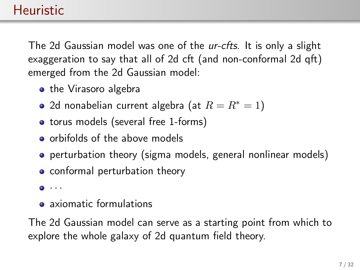The 2d Gaussian model was one of the ur-cfts. It is only a slight exaggeration to say that all of 2d cft (and non-conformal 2d qft) emerged from the 2d Gaussian model:

- the Virasoro algebra
- 2d nonabelian current algebra (at  $R = R^* = 1$ )
- torus models (several free 1-forms)
- **o** orbifolds of the above models
- **•** perturbation theory (sigma models, general nonlinear models)
- conformal perturbation theory
- $\bullet$   $\cdot$   $\cdot$   $\cdot$
- **•** axiomatic formulations

The 2d Gaussian model can serve as a starting point from which to explore the whole galaxy of 2d quantum field theory.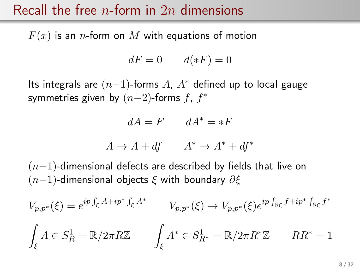#### Recall the free *n*-form in 2*n* dimensions

 $F(x)$  is an *n*-form on M with equations of motion

$$
dF = 0 \qquad d(\ast F) = 0
$$

Its integrals are  $(n-1)$ -forms A,  $A^*$  defined up to local gauge symmetries given by  $(n-2)$ -forms  $f, f^*$ 

$$
dA = F \qquad dA^* = *F
$$

$$
A \to A + df \qquad A^* \to A^* + df^*
$$

 $(n-1)$ -dimensional defects are described by fields that live on  $(n-1)$ -dimensional objects  $\xi$  with boundary  $\partial \xi$ 

$$
V_{p,p^*}(\xi) = e^{ip \int_{\xi} A + ip^* \int_{\xi} A^*} \qquad V_{p,p^*}(\xi) \to V_{p,p^*}(\xi) e^{ip \int_{\partial \xi} f + ip^* \int_{\partial \xi} f^*}
$$

$$
\int_{\xi} A \in S_R^1 = \mathbb{R}/2\pi R \mathbb{Z} \qquad \int_{\xi} A^* \in S_{R^*}^1 = \mathbb{R}/2\pi R^* \mathbb{Z} \qquad RR^* = 1
$$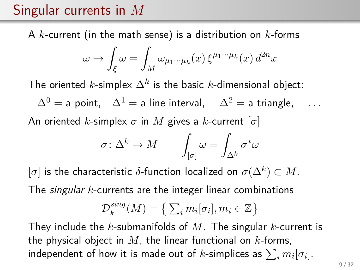## Singular currents in M

A  $k$ -current (in the math sense) is a distribution on  $k$ -forms

$$
\omega \mapsto \int_{\xi} \omega = \int_M \omega_{\mu_1 \cdots \mu_k}(x) \, \xi^{\mu_1 \cdots \mu_k}(x) \, d^{2n}x
$$

The oriented  $k$ -simplex  $\Delta^k$  is the basic  $k$ -dimensional object:

 $\Delta^{0}$  = a point,  $\Delta^{1}$  = a line interval,  $\Delta^{2}$  = a triangle, ...

An oriented k-simplex  $\sigma$  in M gives a k-current  $[\sigma]$ 

$$
\sigma\colon \Delta^k\to M\qquad \int_{[\sigma]}\omega=\int_{\Delta^k}\sigma^*\omega
$$

 $[\sigma]$  is the characteristic  $\delta$ -function localized on  $\sigma(\Delta^k)\subset M.$ 

The *singular k*-currents are the integer linear combinations

$$
\mathcal{D}_k^{sing}(M) = \left\{ \sum_i m_i[\sigma_i], m_i \in \mathbb{Z} \right\}
$$

They include the k-submanifolds of M. The singular k-current is the physical object in  $M$ , the linear functional on  $k$ -forms, independent of how it is made out of  $k$ -simplices as  $\sum_i m_i [\sigma_i].$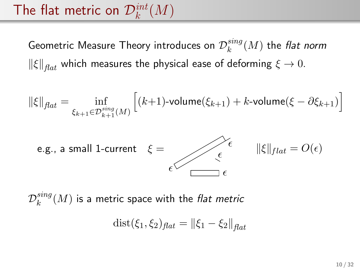# The flat metric on  $\mathcal{D}_{k}^{int}(M)$

Geometric Measure Theory introduces on  $\mathcal{D}_k^{sing}$  $_{k}^{sing}(M)$  the flat norm  $\|\xi\|_{\text{flat}}$  which measures the physical ease of deforming  $\xi \to 0$ .

$$
\|\xi\|_{\text{flat}} = \inf_{\xi_{k+1} \in \mathcal{D}_{k+1}^{\text{sing}}(M)} \left[ (k+1) \text{-volume}(\xi_{k+1}) + k \text{-volume}(\xi - \partial \xi_{k+1}) \right]
$$



 $\mathcal{D}_k^{sing}$  $\mathcal{E}_k^{sing}(M)$  is a metric space with the *flat metric* 

$$
dist(\xi_1, \xi_2)_{flat} = ||\xi_1 - \xi_2||_{flat}
$$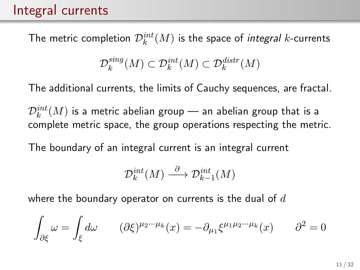### Integral currents

The metric completion  $\mathcal{D}_{k}^{int}(M)$  is the space of *integral k-*currents

$$
\mathcal{D}_k^{sing}(M) \subset \mathcal{D}_k^{int}(M) \subset \mathcal{D}_k^{distr}(M)
$$

The additional currents, the limits of Cauchy sequences, are fractal.

 $\mathcal{D}_k^{int}(M)$  is a metric abelian group — an abelian group that is a complete metric space, the group operations respecting the metric.

The boundary of an integral current is an integral current

$$
\mathcal{D}_k^{int}(M) \xrightarrow{\partial} \mathcal{D}_{k-1}^{int}(M)
$$

where the boundary operator on currents is the dual of  $d$ 

$$
\int_{\partial \xi} \omega = \int_{\xi} d\omega \qquad (\partial \xi)^{\mu_2 \cdots \mu_k}(x) = -\partial_{\mu_1} \xi^{\mu_1 \mu_2 \cdots \mu_k}(x) \qquad \partial^2 = 0
$$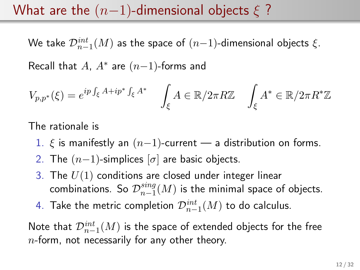#### What are the  $(n-1)$ -dimensional objects  $\xi$  ?

We take  $\mathcal{D}^{int}_{n-1}(M)$  as the space of  $(n{-}1)$ -dimensional objects  $\xi.$ 

Recall that  $A$ ,  $A^*$  are  $(n-1)$ -forms and

$$
V_{p,p^*}(\xi) = e^{ip \int_{\xi} A + ip^* \int_{\xi} A^*} \int_{\xi} A \in \mathbb{R}/2\pi R \mathbb{Z} \int_{\xi} A^* \in \mathbb{R}/2\pi R^* \mathbb{Z}
$$

The rationale is

- 1.  $\xi$  is manifestly an  $(n-1)$ -current a distribution on forms.
- 2. The  $(n-1)$ -simplices  $[\sigma]$  are basic objects.
- 3. The  $U(1)$  conditions are closed under integer linear combinations. So  $\mathcal{D}_{n-1}^{sing}$  $\frac{sing}{n-1}(M)$  is the minimal space of objects.
- 4. Take the metric completion  $\mathcal{D}_{n-1}^{int}(M)$  to do calculus.

Note that  $\mathcal{D}_{n-1}^{int}(M)$  is the space of extended objects for the free  $n$ -form, not necessarily for any other theory.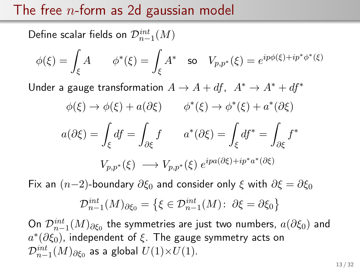### The free  $n$ -form as 2d gaussian model

Define scalar fields on  $\mathcal{D}_{n-1}^{int}(M)$ 

$$
\phi(\xi) = \int_{\xi} A \qquad \phi^*(\xi) = \int_{\xi} A^* \quad \text{so} \quad V_{p,p^*}(\xi) = e^{ip\phi(\xi) + ip^*\phi^*(\xi)}
$$

Under a gauge transformation  $A \rightarrow A + df$ ,  $A^* \rightarrow A^* + df^*$ 

$$
\phi(\xi) \to \phi(\xi) + a(\partial \xi) \qquad \phi^*(\xi) \to \phi^*(\xi) + a^*(\partial \xi)
$$

$$
a(\partial \xi) = \int_{\xi} df = \int_{\partial \xi} f \qquad a^*(\partial \xi) = \int_{\xi} df^* = \int_{\partial \xi} f^*
$$

$$
V_{p, p^*}(\xi) \longrightarrow V_{p, p^*}(\xi) e^{ipa(\partial \xi) + ip^*a^*(\partial \xi)}
$$

Fix an  $(n-2)$ -boundary  $\partial \xi_0$  and consider only  $\xi$  with  $\partial \xi = \partial \xi_0$ 

$$
\mathcal{D}_{n-1}^{int}(M)_{\partial \xi_0} = \{ \xi \in \mathcal{D}_{n-1}^{int}(M) : \ \partial \xi = \partial \xi_0 \}
$$

On  $\mathcal{D}_{n-1}^{int}(M)_{\partial \xi_0}$  the symmetries are just two numbers,  $a(\partial \xi_0)$  and  $a^*(\partial \xi_0)$ , independent of  $\xi$ . The gauge symmetry acts on  $\mathcal{D}^{int}_{n-1}(M)_{\partial \xi_0}$  as a global  $U(1){\times}U(1).$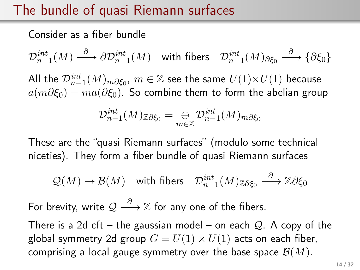## The bundle of quasi Riemann surfaces

Consider as a fiber bundle

 $\mathcal{D}^{int}_{n-1}(M) \stackrel{\partial}{\longrightarrow} \partial \mathcal{D}^{int}_{n-1}(M) \quad \text{with fibers} \quad \mathcal{D}^{int}_{n-1}(M)_{\partial \xi_0} \stackrel{\partial}{\longrightarrow} \{\partial \xi_0\}$ 

All the  $\mathcal{D}_{n-1}^{int}(M)_{m\partial \xi_0},\, m\in \mathbb{Z}$  see the same  $U(1){\times}U(1)$  because  $a(m\partial \xi_0) = ma(\partial \xi_0)$ . So combine them to form the abelian group

$$
\mathcal{D}_{n-1}^{int}(M)_{\mathbb{Z}\partial\xi_0}=\mathop{\oplus}_{m\in\mathbb{Z}} \mathcal{D}_{n-1}^{int}(M)_{m\partial\xi_0}
$$

These are the "quasi Riemann surfaces" (modulo some technical niceties). They form a fiber bundle of quasi Riemann surfaces

$$
\mathcal{Q}(M) \to \mathcal{B}(M) \quad \text{with fibers} \quad \mathcal{D}^{int}_{n-1}(M)_{\mathbb{Z}\partial \xi_0} \stackrel{\partial}{\longrightarrow} \mathbb{Z}\partial \xi_0
$$

For brevity, write  $\mathcal{Q} \stackrel{\partial}{\longrightarrow} \mathbb{Z}$  for any one of the fibers.

There is a 2d cft – the gaussian model – on each  $Q$ . A copy of the global symmetry 2d group  $G = U(1) \times U(1)$  acts on each fiber, comprising a local gauge symmetry over the base space  $\mathcal{B}(M)$ .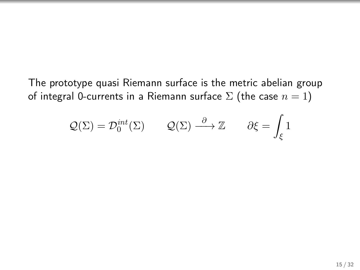The prototype quasi Riemann surface is the metric abelian group of integral 0-currents in a Riemann surface  $\Sigma$  (the case  $n = 1$ )

$$
Q(\Sigma) = \mathcal{D}_0^{int}(\Sigma)
$$
  $Q(\Sigma) \stackrel{\partial}{\longrightarrow} \mathbb{Z}$   $\partial \xi = \int_{\xi} 1$ 

 $\overline{\phantom{a}}$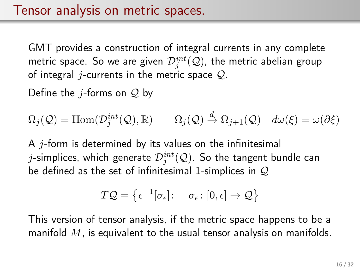GMT provides a construction of integral currents in any complete metric space. So we are given  $\mathcal{D}^{int}_j(\mathcal{Q})$ , the metric abelian group of integral *j*-currents in the metric space  $Q$ .

Define the *j*-forms on  $Q$  by

$$
\Omega_j(\mathcal{Q}) = \text{Hom}(\mathcal{D}_j^{int}(\mathcal{Q}), \mathbb{R}) \qquad \Omega_j(\mathcal{Q}) \stackrel{d}{\to} \Omega_{j+1}(\mathcal{Q}) \quad d\omega(\xi) = \omega(\partial \xi)
$$

A  $i$ -form is determined by its values on the infinitesimal  $j$ -simplices, which generate  $\mathcal{D}^{int}_j(\mathcal{Q}).$  So the tangent bundle can be defined as the set of infinitesimal 1-simplices in  $Q$ 

$$
T\mathcal{Q} = \left\{ \epsilon^{-1}[\sigma_{\epsilon}] : \sigma_{\epsilon} : [0, \epsilon] \to \mathcal{Q} \right\}
$$

This version of tensor analysis, if the metric space happens to be a manifold  $M$ , is equivalent to the usual tensor analysis on manifolds.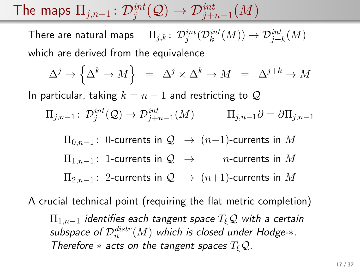The maps  $\Pi_{j,n-1}\colon \mathcal{D}^{int}_j(\mathcal{Q})\rightarrow \mathcal{D}^{int}_{j+n-1}(M)$ 

There are natural maps  $\quad \Pi_{j,k} \colon \mathcal{D}^{int}_j(\mathcal{D}^{int}_k(M)) \to \mathcal{D}^{int}_{j+k}(M)$ which are derived from the equivalence

$$
\Delta^j \to \Big\{ \Delta^k \to M \Big\} \;\; = \;\; \Delta^j \times \Delta^k \to M \;\; = \;\; \Delta^{j+k} \to M
$$

In particular, taking  $k = n - 1$  and restricting to Q

$$
\Pi_{j,n-1} \colon \mathcal{D}^{int}_{j}(\mathcal{Q}) \to \mathcal{D}^{int}_{j+n-1}(M) \qquad \Pi_{j,n-1}\partial = \partial \Pi_{j,n-1}
$$

 $\Pi_{0,n-1}$ : 0-currents in  $\mathcal{Q} \rightarrow (n-1)$ -currents in M  $\Pi_{1,n-1}$ : 1-currents in  $\mathcal{Q} \rightarrow$  n-currents in M  $\Pi_{2,n-1}$ : 2-currents in  $\mathcal{Q} \rightarrow (n+1)$ -currents in M

A crucial technical point (requiring the flat metric completion)  $\Pi_{1,n-1}$  identifies each tangent space  $T_{\xi}Q$  with a certain subspace of  $\mathcal{D}_n^{distr}(M)$  which is closed under Hodge- $\ast.$ Therefore  $*$  acts on the tangent spaces  $T_{\xi}Q$ .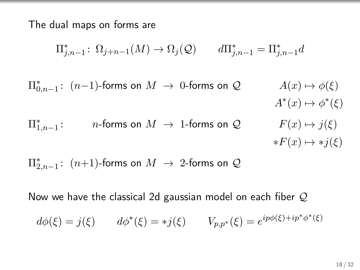The dual maps on forms are

$$
\Pi_{j,n-1}^* \colon \Omega_{j+n-1}(M) \to \Omega_j(\mathcal{Q}) \qquad d\Pi_{j,n-1}^* = \Pi_{j,n-1}^* d
$$

 $\Pi_{0,n-1}^*$ :  $(n-1)$ -forms on  $M → 0$ -forms on  $\mathcal{Q}$   $A(x) → φ(\xi)$  $A^*(x) \mapsto \phi^*(\xi)$  $\Pi_{1,n-1}^*$ *n*-forms on  $M \to 1$ -forms on  $\mathcal{Q}$   $F(x) \mapsto j(\xi)$  $*F(x) \mapsto *i(\xi)$ 

 $\Pi_{2,n-1}^*$ :  $(n+1)$ -forms on  $M$   $\;\rightarrow$  2-forms on  $\mathcal Q$ 

Now we have the classical 2d gaussian model on each fiber Q

$$
d\phi(\xi) = j(\xi)
$$
  $d\phi^*(\xi) = *j(\xi)$   $V_{p,p^*}(\xi) = e^{ip\phi(\xi) + ip^*\phi^*(\xi)}$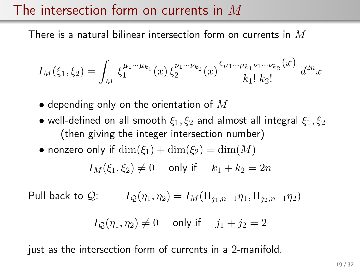#### The intersection form on currents in M

There is a natural bilinear intersection form on currents in  $M$ 

$$
I_M(\xi_1, \xi_2) = \int_M \xi_1^{\mu_1 \cdots \mu_{k_1}}(x) \, \xi_2^{\nu_1 \cdots \nu_{k_2}}(x) \frac{\epsilon_{\mu_1 \cdots \mu_{k_1} \nu_1 \cdots \nu_{k_2}}(x)}{k_1! \, k_2!} \, d^{2n}x
$$

- depending only on the orientation of  $M$
- well-defined on all smooth  $\xi_1, \xi_2$  and almost all integral  $\xi_1, \xi_2$ (then giving the integer intersection number)
- nonzero only if  $\dim(\xi_1) + \dim(\xi_2) = \dim(M)$

$$
I_M(\xi_1, \xi_2) \neq 0 \quad \text{ only if } \quad k_1 + k_2 = 2n
$$

Pull back to Q:  $I_{\mathcal{O}}(\eta_1, \eta_2) = I_M(\Pi_{i_1, n-1} \eta_1, \Pi_{i_2, n-1} \eta_2)$ 

$$
I_{\mathcal{Q}}(\eta_1, \eta_2) \neq 0 \quad \text{ only if } \quad j_1 + j_2 = 2
$$

just as the intersection form of currents in a 2-manifold.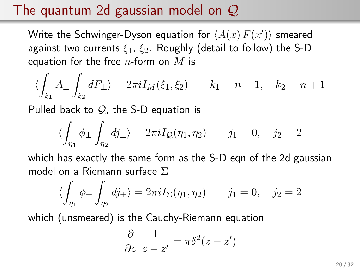### The quantum 2d gaussian model on  $\mathcal{Q}$

Write the Schwinger-Dyson equation for  $\langle A(x)\,F(x')\rangle$  smeared against two currents  $\xi_1$ ,  $\xi_2$ . Roughly (detail to follow) the S-D equation for the free  $n$ -form on  $M$  is

$$
\langle \int_{\xi_1} A_{\pm} \int_{\xi_2} dF_{\pm} \rangle = 2\pi i I_M(\xi_1, \xi_2) \qquad k_1 = n - 1, \quad k_2 = n + 1
$$

Pulled back to  $Q$ , the S-D equation is

$$
\langle \int_{\eta_1} \phi_{\pm} \int_{\eta_2} dj_{\pm} \rangle = 2\pi i I_{\mathcal{Q}}(\eta_1, \eta_2) \qquad j_1 = 0, \quad j_2 = 2
$$

which has exactly the same form as the S-D eqn of the 2d gaussian model on a Riemann surface Σ

$$
\langle \int_{\eta_1} \phi_{\pm} \int_{\eta_2} dj_{\pm} \rangle = 2\pi i I_{\Sigma}(\eta_1, \eta_2) \qquad j_1 = 0, \quad j_2 = 2
$$

which (unsmeared) is the Cauchy-Riemann equation

$$
\frac{\partial}{\partial \bar{z}} \frac{1}{z - z'} = \pi \delta^2 (z - z')
$$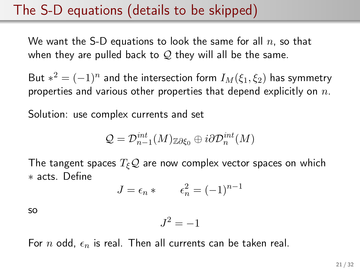#### The S-D equations (details to be skipped)

We want the S-D equations to look the same for all  $n$ , so that when they are pulled back to  $\mathcal{Q}$  they will all be the same.

But  $*^2 = (-1)^n$  and the intersection form  $I_M(\xi_1,\xi_2)$  has symmetry properties and various other properties that depend explicitly on  $n$ .

Solution: use complex currents and set

$$
\mathcal{Q}=\mathcal{D}_{n-1}^{int}(M)_{\mathbb{Z}\partial \xi_0}\oplus i\partial \mathcal{D}_{n}^{int}(M)
$$

The tangent spaces  $T_{\xi}Q$  are now complex vector spaces on which ∗ acts. Define

$$
J = \epsilon_n * \qquad \epsilon_n^2 = (-1)^{n-1}
$$

so

$$
J^2 = -1
$$

For n odd,  $\epsilon_n$  is real. Then all currents can be taken real.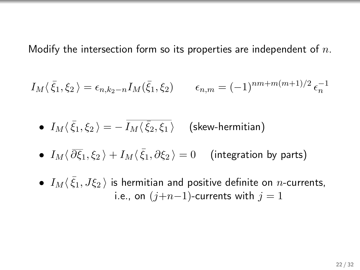Modify the intersection form so its properties are independent of  $n$ .

$$
I_M(\bar{\xi}_1, \xi_2) = \epsilon_{n,k_2-n} I_M(\bar{\xi}_1, \xi_2) \qquad \epsilon_{n,m} = (-1)^{nm+m(m+1)/2} \epsilon_n^{-1}
$$

 $\bullet$   $I_M \langle\,\bar\xi_1,\xi_2\,\rangle=-\,\overline{I_M \langle\,\bar\xi_2,\xi_1\,\rangle} \quad$  (skew-hermitian)

- $\bullet$   $I_M\langle \,\overline{\partial}\overline{\xi}_1,\xi_2\,\rangle+I_M\langle\,\bar{\xi}_1,\partial\xi_2\,\rangle=0$  (integration by parts)
- $\bullet$   $I_M\langle\bar{\xi}_1,J\xi_2\,\rangle$  is hermitian and positive definite on  $n$ -currents, i.e., on  $(j+n-1)$ -currents with  $j = 1$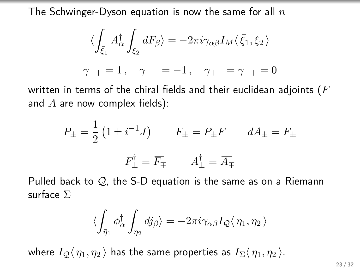The Schwinger-Dyson equation is now the same for all  $n$ 

$$
\langle \int_{\bar{\xi}_1} A^{\dagger}_{\alpha} \int_{\xi_2} dF_{\beta} \rangle = -2\pi i \gamma_{\alpha\beta} I_M \langle \bar{\xi}_1, \xi_2 \rangle
$$
  

$$
\gamma_{++} = 1, \quad \gamma_{--} = -1, \quad \gamma_{+-} = \gamma_{-+} = 0
$$

written in terms of the chiral fields and their euclidean adjoints ( $F$ and  $A$  are now complex fields):

$$
P_{\pm} = \frac{1}{2} \left( 1 \pm i^{-1} J \right) \qquad F_{\pm} = P_{\pm} F \qquad dA_{\pm} = F_{\pm}
$$

$$
F_{\pm}^{\dagger} = \overline{F}_{\mp} \qquad A_{\pm}^{\dagger} = \overline{A}_{\mp}
$$

Pulled back to  $\mathcal{Q}_1$ , the S-D equation is the same as on a Riemann surface Σ

$$
\langle \int_{\bar{\eta}_1} \phi^{\dagger}_{\alpha} \int_{\eta_2} dj_{\beta} \rangle = -2\pi i \gamma_{\alpha\beta} I_{\mathcal{Q}} \langle \bar{\eta}_1, \eta_2 \rangle
$$

where  $I_Q\langle \bar{\eta}_1, \eta_2 \rangle$  has the same properties as  $I_\Sigma\langle \bar{\eta}_1, \eta_2 \rangle$ .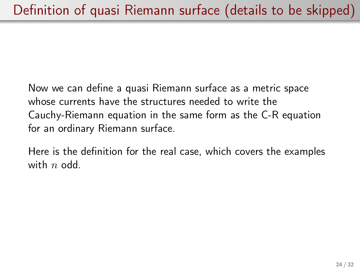Now we can define a quasi Riemann surface as a metric space whose currents have the structures needed to write the Cauchy-Riemann equation in the same form as the C-R equation for an ordinary Riemann surface.

Here is the definition for the real case, which covers the examples with  $n$  odd.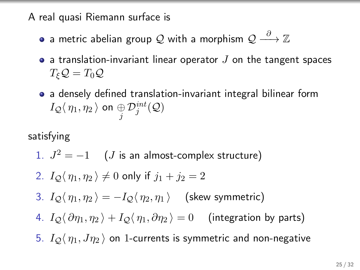A real quasi Riemann surface is

- a metric abelian group  $\mathcal Q$  with a morphism  $\mathcal Q \stackrel{\partial}{\longrightarrow} \mathbb Z$
- a translation-invariant linear operator  $J$  on the tangent spaces  $T_{\xi}Q=T_0Q$
- a densely defined translation-invariant integral bilinear form  $I_{\mathcal{Q}}\langle\,\eta_1,\eta_2\,\rangle$  on  $\underset{j}{\oplus}\mathcal{D}_j^{int}(\mathcal{Q})$

satisfying

1. 
$$
J^2 = -1
$$
 (J is an almost-complex structure)

2. 
$$
I_Q(\eta_1, \eta_2) \neq 0
$$
 only if  $j_1 + j_2 = 2$ 

- 3.  $I_{\mathcal{O}}\langle \eta_1, \eta_2 \rangle = -I_{\mathcal{O}}\langle \eta_2, \eta_1 \rangle$  (skew symmetric)
- 4.  $I_{\mathcal{O}}\langle \partial \eta_1, \eta_2 \rangle + I_{\mathcal{O}}\langle \eta_1, \partial \eta_2 \rangle = 0$  (integration by parts)
- 5.  $I_{\mathcal{Q}}\langle \eta_1, J\eta_2 \rangle$  on 1-currents is symmetric and non-negative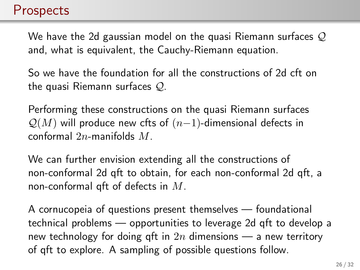#### **Prospects**

We have the 2d gaussian model on the quasi Riemann surfaces  $\mathcal Q$ and, what is equivalent, the Cauchy-Riemann equation.

So we have the foundation for all the constructions of 2d cft on the quasi Riemann surfaces Q.

Performing these constructions on the quasi Riemann surfaces  $\mathcal{Q}(M)$  will produce new cfts of  $(n-1)$ -dimensional defects in conformal 2n-manifolds M.

We can further envision extending all the constructions of non-conformal 2d qft to obtain, for each non-conformal 2d qft, a non-conformal qft of defects in  $M$ .

A cornucopeia of questions present themselves — foundational technical problems — opportunities to leverage 2d qft to develop a new technology for doing qft in  $2n$  dimensions — a new territory of qft to explore. A sampling of possible questions follow.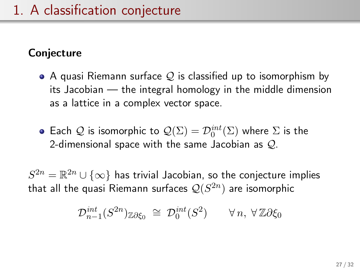#### **Conjecture**

- $\bullet$  A quasi Riemann surface  $\mathcal Q$  is classified up to isomorphism by its Jacobian — the integral homology in the middle dimension as a lattice in a complex vector space.
- Each  $\mathcal Q$  is isomorphic to  $\mathcal Q(\Sigma) = \mathcal D_0^{int}(\Sigma)$  where  $\Sigma$  is the 2-dimensional space with the same Jacobian as  $Q$ .

 $S^{2n} = \mathbb{R}^{2n} \cup \{\infty\}$  has trivial Jacobian, so the conjecture implies that all the quasi Riemann surfaces  $\mathcal{Q}(S^{2n})$  are isomorphic

$$
\mathcal{D}_{n-1}^{int}(S^{2n})_{\mathbb{Z}\partial\xi_0}\;\cong\;\mathcal{D}_0^{int}(S^2)\qquad\forall\,n,\;\forall\,\mathbb{Z}\partial\xi_0
$$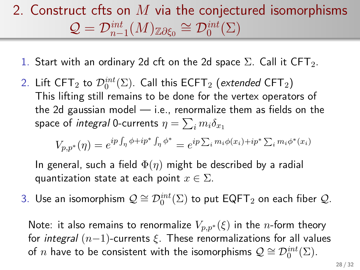# 2. Construct cfts on  $M$  via the conjectured isomorphisms  $\mathcal{Q} = \mathcal{D}_{n-1}^{\text{int}}(M)_{\mathbb{Z}\partial \xi_0} \cong \mathcal{D}_0^{\text{int}}(\Sigma)$

- 1. Start with an ordinary 2d cft on the 2d space  $\Sigma$ . Call it CFT<sub>2</sub>.
- 2. Lift CFT $_2$  to  $\mathcal{D}_0^{int}(\Sigma)$ . Call this ECFT $_2$  (extended CFT $_2)$ This lifting still remains to be done for the vertex operators of the 2d gaussian model  $-$  i.e., renormalize them as fields on the space of *integral* 0-currents  $\eta = \sum_i m_i \delta_{x_1}$

$$
V_{p,p^*}(\eta) = e^{ip \int_{\eta} \phi + ip^* \int_{\eta} \phi^*} = e^{ip \sum_i m_i \phi(x_i) + ip^* \sum_i m_i \phi^*(x_i)}
$$

In general, such a field  $\Phi(\eta)$  might be described by a radial quantization state at each point  $x \in \Sigma$ .

3. Use an isomorphism  $\mathcal{Q} \cong \mathcal{D}_0^{int}(\Sigma)$  to put  $\mathsf{EQFT}_2$  on each fiber  $\mathcal{Q}.$ 

Note: it also remains to renormalize  $V_{p,p^*}(\xi)$  in the *n*-form theory for integral  $(n-1)$ -currents  $\xi$ . These renormalizations for all values of  $n$  have to be consistent with the isomorphisms  $\mathcal{Q} \cong \mathcal{D}^{int}_0(\Sigma)$ .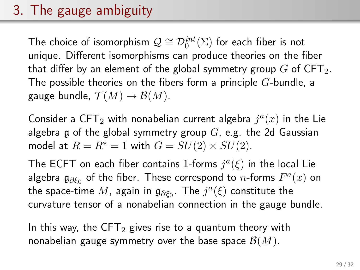# 3. The gauge ambiguity

The choice of isomorphism  $\mathcal{Q} \cong \mathcal{D}^{int}_0(\Sigma)$  for each fiber is not unique. Different isomorphisms can produce theories on the fiber that differ by an element of the global symmetry group  $G$  of CFT<sub>2</sub>. The possible theories on the fibers form a principle  $G$ -bundle, a gauge bundle,  $\mathcal{T}(M) \to \mathcal{B}(M)$ .

Consider a CFT<sub>2</sub> with nonabelian current algebra  $j^a(x)$  in the Lie algebra g of the global symmetry group  $G$ , e.g. the 2d Gaussian model at  $R = R^* = 1$  with  $G = SU(2) \times SU(2)$ .

The ECFT on each fiber contains 1-forms  $j^a(\xi)$  in the local Lie algebra  $\mathfrak{g}_{\partial \xi_0}$  of the fiber. These correspond to  $n$ -forms  $F^a(x)$  on the space-time  $M$ , again in  $\mathfrak{g}_{\partial \xi_0}$ . The  $j^a(\xi)$  constitute the curvature tensor of a nonabelian connection in the gauge bundle.

In this way, the CFT<sub>2</sub> gives rise to a quantum theory with nonabelian gauge symmetry over the base space  $\mathcal{B}(M)$ .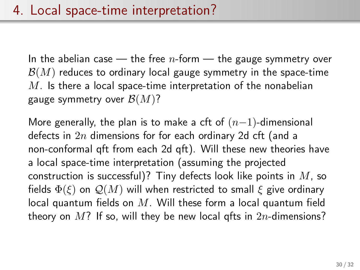In the abelian case  $-$  the free *n*-form  $-$  the gauge symmetry over  $\mathcal{B}(M)$  reduces to ordinary local gauge symmetry in the space-time  $M$ . Is there a local space-time interpretation of the nonabelian gauge symmetry over  $\mathcal{B}(M)$ ?

More generally, the plan is to make a cft of  $(n-1)$ -dimensional defects in  $2n$  dimensions for for each ordinary 2d cft (and a non-conformal qft from each 2d qft). Will these new theories have a local space-time interpretation (assuming the projected construction is successful)? Tiny defects look like points in  $M$ , so fields  $\Phi(\xi)$  on  $\mathcal{Q}(M)$  will when restricted to small  $\xi$  give ordinary local quantum fields on  $M$ . Will these form a local quantum field theory on  $M$ ? If so, will they be new local gfts in  $2n$ -dimensions?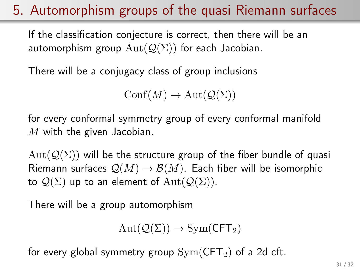## 5. Automorphism groups of the quasi Riemann surfaces

If the classification conjecture is correct, then there will be an automorphism group  $Aut(Q(\Sigma))$  for each Jacobian.

There will be a conjugacy class of group inclusions

 $\text{Conf}(M) \to \text{Aut}(\mathcal{Q}(\Sigma))$ 

for every conformal symmetry group of every conformal manifold  $M$  with the given Jacobian.

 $Aut(Q(\Sigma))$  will be the structure group of the fiber bundle of quasi Riemann surfaces  $\mathcal{Q}(M) \to \mathcal{B}(M)$ . Each fiber will be isomorphic to  $\mathcal{Q}(\Sigma)$  up to an element of  $\text{Aut}(\mathcal{Q}(\Sigma)).$ 

There will be a group automorphism

$$
Aut(\mathcal{Q}(\Sigma)) \to \text{Sym}(\mathsf{CFT}_2)
$$

for every global symmetry group  $Sym(CFT_2)$  of a 2d cft.